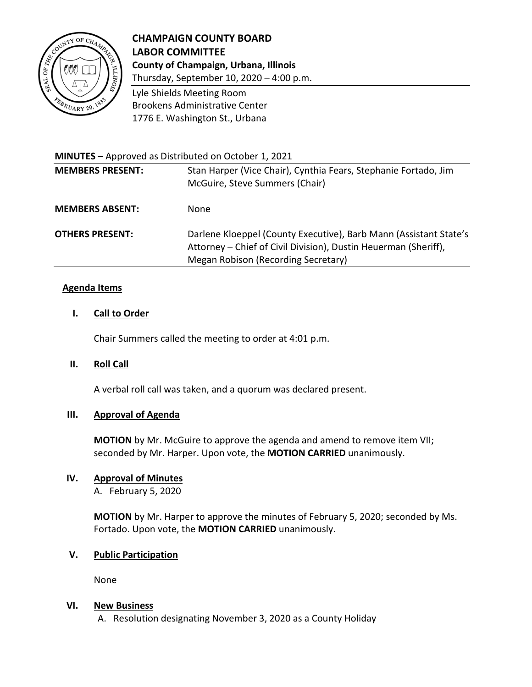

# **CHAMPAIGN COUNTY BOARD LABOR COMMITTEE County of Champaign, Urbana, Illinois**

Thursday, September 10, 2020 – 4:00 p.m.

Lyle Shields Meeting Room Brookens Administrative Center 1776 E. Washington St., Urbana

| <b>MINUTES</b> – Approved as Distributed on October 1, 2021 |                                                                                                                                                                             |
|-------------------------------------------------------------|-----------------------------------------------------------------------------------------------------------------------------------------------------------------------------|
| <b>MEMBERS PRESENT:</b>                                     | Stan Harper (Vice Chair), Cynthia Fears, Stephanie Fortado, Jim<br>McGuire, Steve Summers (Chair)                                                                           |
| <b>MEMBERS ABSENT:</b>                                      | None.                                                                                                                                                                       |
| <b>OTHERS PRESENT:</b>                                      | Darlene Kloeppel (County Executive), Barb Mann (Assistant State's<br>Attorney - Chief of Civil Division), Dustin Heuerman (Sheriff),<br>Megan Robison (Recording Secretary) |

## **Agenda Items**

### **I. Call to Order**

Chair Summers called the meeting to order at 4:01 p.m.

## **II. Roll Call**

A verbal roll call was taken, and a quorum was declared present.

## **III. Approval of Agenda**

**MOTION** by Mr. McGuire to approve the agenda and amend to remove item VII; seconded by Mr. Harper. Upon vote, the **MOTION CARRIED** unanimously.

## **IV. Approval of Minutes**

A. February 5, 2020

**MOTION** by Mr. Harper to approve the minutes of February 5, 2020; seconded by Ms. Fortado. Upon vote, the **MOTION CARRIED** unanimously.

#### **V. Public Participation**

None

#### **VI. New Business**

A. Resolution designating November 3, 2020 as a County Holiday